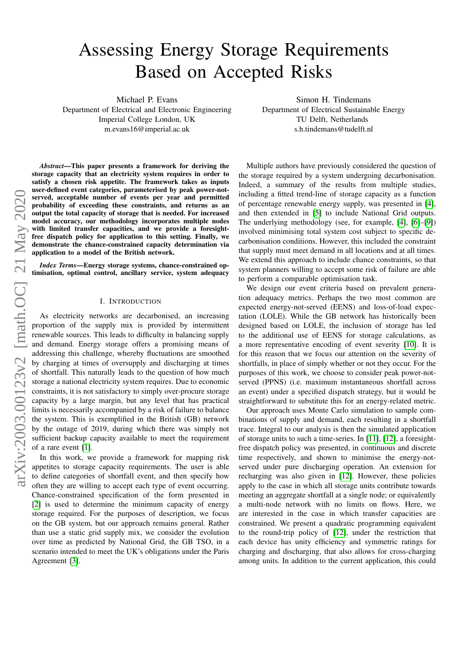# Assessing Energy Storage Requirements Based on Accepted Risks

Michael P. Evans

Department of Electrical and Electronic Engineering Imperial College London, UK m.evans16@imperial.ac.uk

Simon H. Tindemans Department of Electrical Sustainable Energy TU Delft, Netherlands s.h.tindemans@tudelft.nl

arXiv:2003.00123v2 [math.OC] 21 May 2020 arXiv:2003.00123v2 [math.OC] 21 May 2020

*Abstract*—This paper presents a framework for deriving the storage capacity that an electricity system requires in order to satisfy a chosen risk appetite. The framework takes as inputs user-defined event categories, parameterised by peak power-notserved, acceptable number of events per year and permitted probability of exceeding these constraints, and returns as an output the total capacity of storage that is needed. For increased model accuracy, our methodology incorporates multiple nodes with limited transfer capacities, and we provide a foresightfree dispatch policy for application to this setting. Finally, we demonstrate the chance-constrained capacity determination via application to a model of the British network.

*Index Terms*—Energy storage systems, chance-constrained optimisation, optimal control, ancillary service, system adequacy

## I. INTRODUCTION

<span id="page-0-0"></span>As electricity networks are decarbonised, an increasing proportion of the supply mix is provided by intermittent renewable sources. This leads to difficulty in balancing supply and demand. Energy storage offers a promising means of addressing this challenge, whereby fluctuations are smoothed by charging at times of oversupply and discharging at times of shortfall. This naturally leads to the question of how much storage a national electricity system requires. Due to economic constraints, it is not satisfactory to simply over-procure storage capacity by a large margin, but any level that has practical limits is necessarily accompanied by a risk of failure to balance the system. This is exemplified in the British (GB) network by the outage of 2019, during which there was simply not sufficient backup capacity available to meet the requirement of a rare event [\[1\]](#page-4-0).

In this work, we provide a framework for mapping risk appetites to storage capacity requirements. The user is able to define categories of shortfall event, and then specify how often they are willing to accept each type of event occurring. Chance-constrained specification of the form presented in [\[2\]](#page-4-1) is used to determine the minimum capacity of energy storage required. For the purposes of description, we focus on the GB system, but our approach remains general. Rather than use a static grid supply mix, we consider the evolution over time as predicted by National Grid, the GB TSO, in a scenario intended to meet the UK's obligations under the Paris Agreement [\[3\]](#page-4-2).

Multiple authors have previously considered the question of the storage required by a system undergoing decarbonisation. Indeed, a summary of the results from multiple studies, including a fitted trend-line of storage capacity as a function of percentage renewable energy supply, was presented in [\[4\]](#page-4-3), and then extended in [\[5\]](#page-4-4) to include National Grid outputs. The underlying methodology (see, for example, [\[4\]](#page-4-3), [\[6\]](#page-4-5)–[\[9\]](#page-4-6)) involved minimising total system cost subject to specific decarbonisation conditions. However, this included the constraint that supply must meet demand in all locations and at all times. We extend this approach to include chance constraints, so that system planners willing to accept some risk of failure are able to perform a comparable optimisation task.

We design our event criteria based on prevalent generation adequacy metrics. Perhaps the two most common are expected energy-not-served (EENS) and loss-of-load expectation (LOLE). While the GB network has historically been designed based on LOLE, the inclusion of storage has led to the additional use of EENS for storage calculations, as a more representative encoding of event severity [\[10\]](#page-4-7). It is for this reason that we focus our attention on the severity of shortfalls, in place of simply whether or not they occur. For the purposes of this work, we choose to consider peak power-notserved (PPNS) (i.e. maximum instantaneous shortfall across an event) under a specified dispatch strategy, but it would be straightforward to substitute this for an energy-related metric.

Our approach uses Monte Carlo simulation to sample combinations of supply and demand, each resulting in a shortfall trace. Integral to our analysis is then the simulated application of storage units to such a time-series. In [\[11\]](#page-4-8), [\[12\]](#page-4-9), a foresightfree dispatch policy was presented, in continuous and discrete time respectively, and shown to minimise the energy-notserved under pure discharging operation. An extension for recharging was also given in [\[12\]](#page-4-9). However, these policies apply to the case in which all storage units contribute towards meeting an aggregate shortfall at a single node; or equivalently a multi-node network with no limits on flows. Here, we are interested in the case in which transfer capacities are constrained. We present a quadratic programming equivalent to the round-trip policy of [\[12\]](#page-4-9), under the restriction that each device has unity efficiency and symmetric ratings for charging and discharging, that also allows for cross-charging among units. In addition to the current application, this could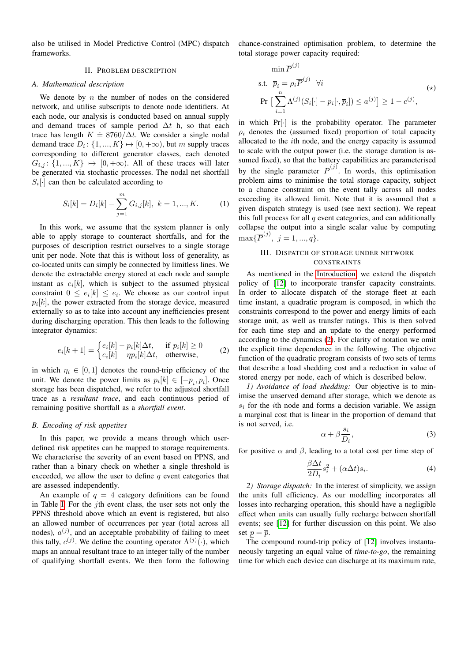also be utilised in Model Predictive Control (MPC) dispatch frameworks.

## II. PROBLEM DESCRIPTION

## *A. Mathematical description*

We denote by  $n$  the number of nodes on the considered network, and utilise subscripts to denote node identifiers. At each node, our analysis is conducted based on annual supply and demand traces of sample period  $\Delta t$  h, so that each trace has length  $K = 8760/\Delta t$ . We consider a single nodal demand trace  $D_i$ :  $\{1, ..., K\} \mapsto [0, +\infty)$ , but m supply traces corresponding to different generator classes, each denoted  $G_{i,j}$ :  $\{1, ..., K\} \mapsto [0, +\infty)$ . All of these traces will later be generated via stochastic processes. The nodal net shortfall  $S_i[\cdot]$  can then be calculated according to

$$
S_i[k] = D_i[k] - \sum_{j=1}^{m} G_{i,j}[k], \ k = 1, ..., K.
$$
 (1)

In this work, we assume that the system planner is only able to apply storage to counteract shortfalls, and for the purposes of description restrict ourselves to a single storage unit per node. Note that this is without loss of generality, as co-located units can simply be connected by limitless lines. We denote the extractable energy stored at each node and sample instant as  $e_i[k]$ , which is subject to the assumed physical constraint  $0 \le e_i[k] \le \overline{e}_i$ . We choose as our control input  $p_i[k]$ , the power extracted from the storage device, measured externally so as to take into account any inefficiencies present during discharging operation. This then leads to the following integrator dynamics:

<span id="page-1-0"></span>
$$
e_i[k+1] = \begin{cases} e_i[k] - p_i[k]\Delta t, & \text{if } p_i[k] \ge 0\\ e_i[k] - \eta p_i[k]\Delta t, & \text{otherwise,} \end{cases}
$$
 (2)

in which  $\eta_i \in [0, 1]$  denotes the round-trip efficiency of the unit. We denote the power limits as  $p_i[k] \in [-\underline{p}_i, \overline{p}_i]$ . Once storage has been dispatched, we refer to the adjusted shortfall trace as a *resultant trace*, and each continuous period of remaining positive shortfall as a *shortfall event*.

## *B. Encoding of risk appetites*

In this paper, we provide a means through which userdefined risk appetites can be mapped to storage requirements. We characterise the severity of an event based on PPNS, and rather than a binary check on whether a single threshold is exceeded, we allow the user to define  $q$  event categories that are assessed independently.

An example of  $q = 4$  category definitions can be found in Table [I.](#page-3-0) For the jth event class, the user sets not only the PPNS threshold above which an event is registered, but also an allowed number of occurrences per year (total across all nodes),  $a^{(j)}$ , and an acceptable probability of failing to meet this tally,  $c^{(j)}$ . We define the counting operator  $\Lambda^{(j)}(\cdot)$ , which maps an annual resultant trace to an integer tally of the number of qualifying shortfall events. We then form the following

chance-constrained optimisation problem, to determine the total storage power capacity required:

$$
\begin{aligned}\n\min \overline{P}^{(j)} \\
\text{s.t.} \quad & \overline{p}_i = \rho_i \overline{P}^{(j)} \quad \forall i \\
\text{Pr} \left[ \sum_{i=1}^n \Lambda^{(j)}(S_i[\cdot] - p_i[\cdot, \overline{p}_i]) \le a^{(j)} \right] \ge 1 - c^{(j)},\n\end{aligned} \tag{*}
$$

in which  $Pr[\cdot]$  is the probability operator. The parameter  $\rho_i$  denotes the (assumed fixed) proportion of total capacity allocated to the ith node, and the energy capacity is assumed to scale with the output power (i.e. the storage duration is assumed fixed), so that the battery capabilities are parameterised by the single parameter  $\overline{P}^{(j)}$ . In words, this optimisation problem aims to minimise the total storage capacity, subject to a chance constraint on the event tally across all nodes exceeding its allowed limit. Note that it is assumed that a given dispatch strategy is used (see next section). We repeat this full process for all  $q$  event categories, and can additionally collapse the output into a single scalar value by computing  $\max{\{\overline{P}^{(j)},\ j=1,...,q\}}.$ 

# III. DISPATCH OF STORAGE UNDER NETWORK CONSTRAINTS

As mentioned in the [Introduction,](#page-0-0) we extend the dispatch policy of [\[12\]](#page-4-9) to incorporate transfer capacity constraints. In order to allocate dispatch of the storage fleet at each time instant, a quadratic program is composed, in which the constraints correspond to the power and energy limits of each storage unit, as well as transfer ratings. This is then solved for each time step and an update to the energy performed according to the dynamics [\(2\)](#page-1-0). For clarity of notation we omit the explicit time dependence in the following. The objective function of the quadratic program consists of two sets of terms that describe a load shedding cost and a reduction in value of stored energy per node, each of which is described below.

*1) Avoidance of load shedding:* Our objective is to minimise the unserved demand after storage, which we denote as  $s_i$  for the *i*th node and forms a decision variable. We assign a marginal cost that is linear in the proportion of demand that is not served, i.e.

<span id="page-1-1"></span>
$$
\alpha + \beta \frac{s_i}{D_i},\tag{3}
$$

for positive  $\alpha$  and  $\beta$ , leading to a total cost per time step of

$$
\frac{\beta \Delta t}{2D_i} s_i^2 + (\alpha \Delta t) s_i.
$$
 (4)

*2) Storage dispatch:* In the interest of simplicity, we assign the units full efficiency. As our modelling incorporates all losses into recharging operation, this should have a negligible effect when units can usually fully recharge between shortfall events; see [\[12\]](#page-4-9) for further discussion on this point. We also set  $p = \overline{p}$ .

The compound round-trip policy of [\[12\]](#page-4-9) involves instantaneously targeting an equal value of *time-to-go*, the remaining time for which each device can discharge at its maximum rate,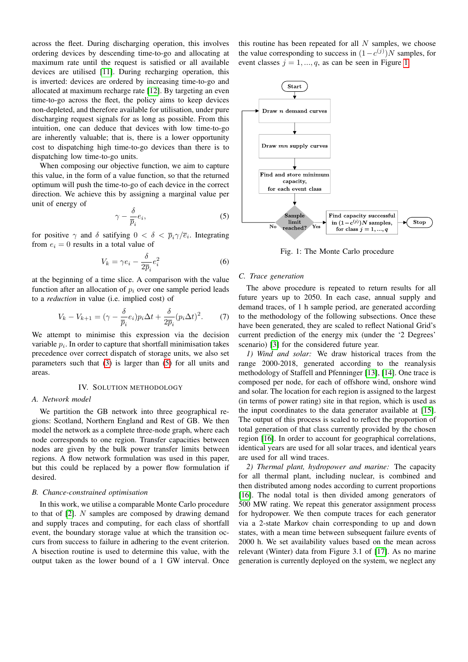across the fleet. During discharging operation, this involves ordering devices by descending time-to-go and allocating at maximum rate until the request is satisfied or all available devices are utilised [\[11\]](#page-4-8). During recharging operation, this is inverted: devices are ordered by increasing time-to-go and allocated at maximum recharge rate [\[12\]](#page-4-9). By targeting an even time-to-go across the fleet, the policy aims to keep devices non-depleted, and therefore available for utilisation, under pure discharging request signals for as long as possible. From this intuition, one can deduce that devices with low time-to-go are inherently valuable; that is, there is a lower opportunity cost to dispatching high time-to-go devices than there is to dispatching low time-to-go units.

When composing our objective function, we aim to capture this value, in the form of a value function, so that the returned optimum will push the time-to-go of each device in the correct direction. We achieve this by assigning a marginal value per unit of energy of

<span id="page-2-0"></span>
$$
\gamma - \frac{\delta}{\overline{p}_i} e_i,\tag{5}
$$

for positive  $\gamma$  and  $\delta$  satifying  $0 < \delta < \bar{p}_i \gamma / \bar{e}_i$ . Integrating from  $e_i = 0$  results in a total value of

$$
V_k = \gamma e_i - \frac{\delta}{2\overline{p}_i} e_i^2 \tag{6}
$$

at the beginning of a time slice. A comparison with the value function after an allocation of  $p_i$  over one sample period leads to a *reduction* in value (i.e. implied cost) of

$$
V_k - V_{k+1} = (\gamma - \frac{\delta}{\overline{p}_i} e_i) p_i \Delta t + \frac{\delta}{2\overline{p}_i} (p_i \Delta t)^2.
$$
 (7)

We attempt to minimise this expression via the decision variable  $p_i$ . In order to capture that shortfall minimisation takes precedence over correct dispatch of storage units, we also set parameters such that [\(3\)](#page-1-1) is larger than [\(5\)](#page-2-0) for all units and areas.

#### IV. SOLUTION METHODOLOGY

## *A. Network model*

We partition the GB network into three geographical regions: Scotland, Northern England and Rest of GB. We then model the network as a complete three-node graph, where each node corresponds to one region. Transfer capacities between nodes are given by the bulk power transfer limits between regions. A flow network formulation was used in this paper, but this could be replaced by a power flow formulation if desired.

#### *B. Chance-constrained optimisation*

In this work, we utilise a comparable Monte Carlo procedure to that of [\[2\]](#page-4-1). N samples are composed by drawing demand and supply traces and computing, for each class of shortfall event, the boundary storage value at which the transition occurs from success to failure in adhering to the event criterion. A bisection routine is used to determine this value, with the output taken as the lower bound of a 1 GW interval. Once

this routine has been repeated for all  $N$  samples, we choose the value corresponding to success in  $(1 - c^{(j)})N$  samples, for event classes  $j = 1, ..., q$ , as can be seen in Figure [1.](#page-2-1)

<span id="page-2-1"></span>

Fig. 1: The Monte Carlo procedure

## *C. Trace generation*

The above procedure is repeated to return results for all future years up to 2050. In each case, annual supply and demand traces, of 1 h sample period, are generated according to the methodology of the following subsections. Once these have been generated, they are scaled to reflect National Grid's current prediction of the energy mix (under the '2 Degrees' scenario) [\[3\]](#page-4-2) for the considered future year.

*1) Wind and solar:* We draw historical traces from the range 2000-2018, generated according to the reanalysis methodology of Staffell and Pfenninger [\[13\]](#page-4-10), [\[14\]](#page-4-11). One trace is composed per node, for each of offshore wind, onshore wind and solar. The location for each region is assigned to the largest (in terms of power rating) site in that region, which is used as the input coordinates to the data generator available at [\[15\]](#page-4-12). The output of this process is scaled to reflect the proportion of total generation of that class currently provided by the chosen region [\[16\]](#page-4-13). In order to account for geographical correlations, identical years are used for all solar traces, and identical years are used for all wind traces.

*2) Thermal plant, hydropower and marine:* The capacity for all thermal plant, including nuclear, is combined and then distributed among nodes according to current proportions [\[16\]](#page-4-13). The nodal total is then divided among generators of 500 MW rating. We repeat this generator assignment process for hydropower. We then compute traces for each generator via a 2-state Markov chain corresponding to up and down states, with a mean time between subsequent failure events of 2000 h. We set availability values based on the mean across relevant (Winter) data from Figure 3.1 of [\[17\]](#page-4-14). As no marine generation is currently deployed on the system, we neglect any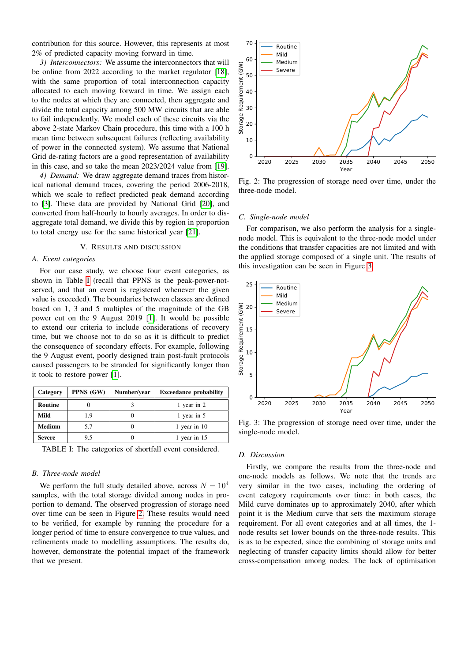contribution for this source. However, this represents at most 2% of predicted capacity moving forward in time.

*3) Interconnectors:* We assume the interconnectors that will be online from 2022 according to the market regulator [\[18\]](#page-4-15), with the same proportion of total interconnection capacity allocated to each moving forward in time. We assign each to the nodes at which they are connected, then aggregate and divide the total capacity among 500 MW circuits that are able to fail independently. We model each of these circuits via the above 2-state Markov Chain procedure, this time with a 100 h mean time between subsequent failures (reflecting availability of power in the connected system). We assume that National Grid de-rating factors are a good representation of availability in this case, and so take the mean 2023/2024 value from [\[19\]](#page-4-16).

*4) Demand:* We draw aggregate demand traces from historical national demand traces, covering the period 2006-2018, which we scale to reflect predicted peak demand according to [\[3\]](#page-4-2). These data are provided by National Grid [\[20\]](#page-4-17), and converted from half-hourly to hourly averages. In order to disaggregate total demand, we divide this by region in proportion to total energy use for the same historical year [\[21\]](#page-4-18).

#### V. RESULTS AND DISCUSSION

#### *A. Event categories*

For our case study, we choose four event categories, as shown in Table [I](#page-3-0) (recall that PPNS is the peak-power-notserved, and that an event is registered whenever the given value is exceeded). The boundaries between classes are defined based on 1, 3 and 5 multiples of the magnitude of the GB power cut on the 9 August 2019 [\[1\]](#page-4-0). It would be possible to extend our criteria to include considerations of recovery time, but we choose not to do so as it is difficult to predict the consequence of secondary effects. For example, following the 9 August event, poorly designed train post-fault protocols caused passengers to be stranded for significantly longer than it took to restore power [\[1\]](#page-4-0).

<span id="page-3-0"></span>

| Category      | PPNS (GW) | Number/year | <b>Exceedance probability</b> |
|---------------|-----------|-------------|-------------------------------|
| Routine       |           |             | 1 year in 2                   |
| Mild          | 1.9       |             | 1 year in 5                   |
| <b>Medium</b> | 5.7       |             | 1 year in $10$                |
| <b>Severe</b> | 9.5       |             | 1 year in 15                  |

TABLE I: The categories of shortfall event considered.

#### *B. Three-node model*

We perform the full study detailed above, across  $N = 10^4$ samples, with the total storage divided among nodes in proportion to demand. The observed progression of storage need over time can be seen in Figure [2.](#page-3-1) These results would need to be verified, for example by running the procedure for a longer period of time to ensure convergence to true values, and refinements made to modelling assumptions. The results do, however, demonstrate the potential impact of the framework that we present.

<span id="page-3-1"></span>

Fig. 2: The progression of storage need over time, under the three-node model.

#### *C. Single-node model*

For comparison, we also perform the analysis for a singlenode model. This is equivalent to the three-node model under the conditions that transfer capacities are not limited and with the applied storage composed of a single unit. The results of this investigation can be seen in Figure [3.](#page-3-2)

<span id="page-3-2"></span>

Fig. 3: The progression of storage need over time, under the single-node model.

## *D. Discussion*

Firstly, we compare the results from the three-node and one-node models as follows. We note that the trends are very similar in the two cases, including the ordering of event category requirements over time: in both cases, the Mild curve dominates up to approximately 2040, after which point it is the Medium curve that sets the maximum storage requirement. For all event categories and at all times, the 1 node results set lower bounds on the three-node results. This is as to be expected, since the combining of storage units and neglecting of transfer capacity limits should allow for better cross-compensation among nodes. The lack of optimisation